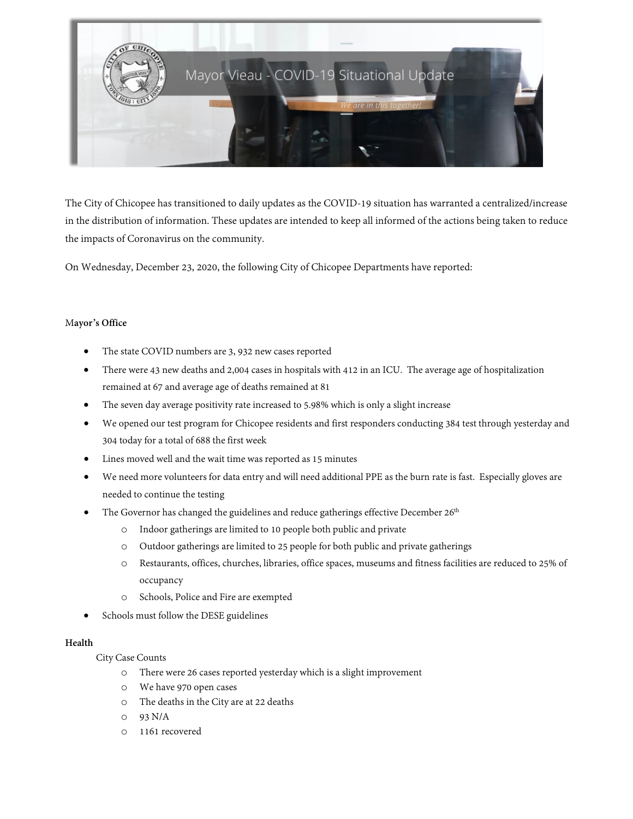

The City of Chicopee has transitioned to daily updates as the COVID-19 situation has warranted a centralized/increase in the distribution of information. These updates are intended to keep all informed of the actions being taken to reduce the impacts of Coronavirus on the community.

On Wednesday, December 23, 2020, the following City of Chicopee Departments have reported:

### M**ayor's Office**

- The state COVID numbers are 3, 932 new cases reported
- There were 43 new deaths and 2,004 cases in hospitals with 412 in an ICU. The average age of hospitalization remained at 67 and average age of deaths remained at 81
- The seven day average positivity rate increased to 5.98% which is only a slight increase
- We opened our test program for Chicopee residents and first responders conducting 384 test through yesterday and 304 today for a total of 688 the first week
- Lines moved well and the wait time was reported as 15 minutes
- We need more volunteers for data entry and will need additional PPE as the burn rate is fast. Especially gloves are needed to continue the testing
- The Governor has changed the guidelines and reduce gatherings effective December 26<sup>th</sup>
	- o Indoor gatherings are limited to 10 people both public and private
	- o Outdoor gatherings are limited to 25 people for both public and private gatherings
	- o Restaurants, offices, churches, libraries, office spaces, museums and fitness facilities are reduced to 25% of occupancy
	- o Schools, Police and Fire are exempted
- Schools must follow the DESE guidelines

#### **Health**

City Case Counts

- o There were 26 cases reported yesterday which is a slight improvement
- o We have 970 open cases
- o The deaths in the City are at 22 deaths
- o 93 N/A
- o 1161 recovered